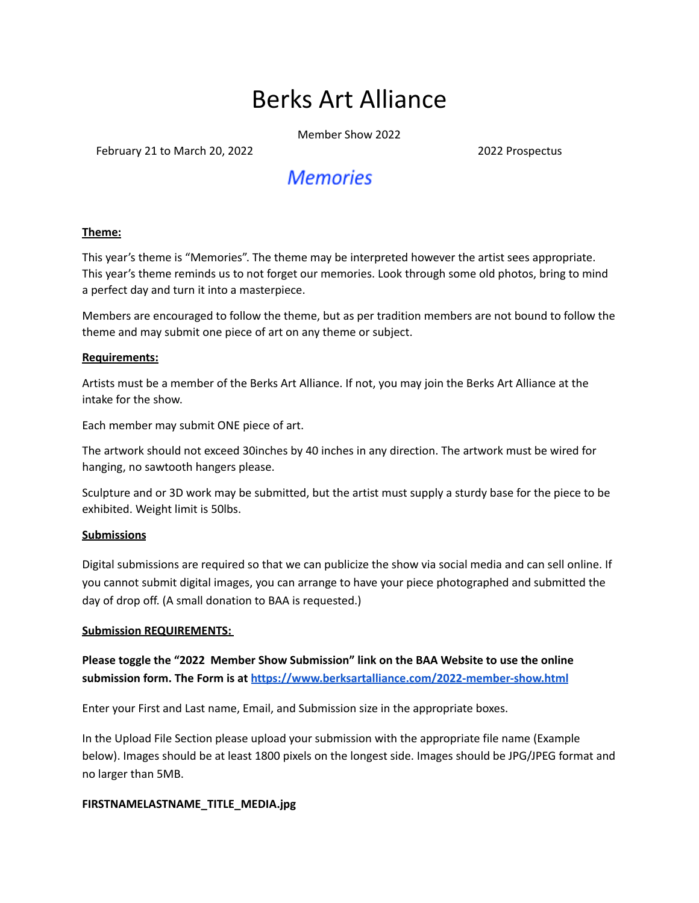# Berks Art Alliance

Member Show 2022

February 21 to March 20, 2022 2022 2022 2022 Prospectus

# **Memories**

#### **Theme:**

This year's theme is "Memories". The theme may be interpreted however the artist sees appropriate. This year's theme reminds us to not forget our memories. Look through some old photos, bring to mind a perfect day and turn it into a masterpiece.

Members are encouraged to follow the theme, but as per tradition members are not bound to follow the theme and may submit one piece of art on any theme or subject.

#### **Requirements:**

Artists must be a member of the Berks Art Alliance. If not, you may join the Berks Art Alliance at the intake for the show.

Each member may submit ONE piece of art.

The artwork should not exceed 30inches by 40 inches in any direction. The artwork must be wired for hanging, no sawtooth hangers please.

Sculpture and or 3D work may be submitted, but the artist must supply a sturdy base for the piece to be exhibited. Weight limit is 50lbs.

#### **Submissions**

Digital submissions are required so that we can publicize the show via social media and can sell online. If you cannot submit digital images, you can arrange to have your piece photographed and submitted the day of drop off. (A small donation to BAA is requested.)

#### **Submission REQUIREMENTS:**

**Please toggle the "2022 Member Show Submission" link on the BAA Website to use the online submission form. The Form is at <https://www.berksartalliance.com/2022-member-show.html>**

Enter your First and Last name, Email, and Submission size in the appropriate boxes.

In the Upload File Section please upload your submission with the appropriate file name (Example below). Images should be at least 1800 pixels on the longest side. Images should be JPG/JPEG format and no larger than 5MB.

#### **FIRSTNAMELASTNAME\_TITLE\_MEDIA.jpg**